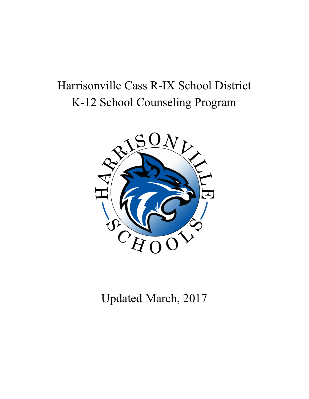# Harrisonville Cass R-IX School District K-12 School Counseling Program



Updated March, 2017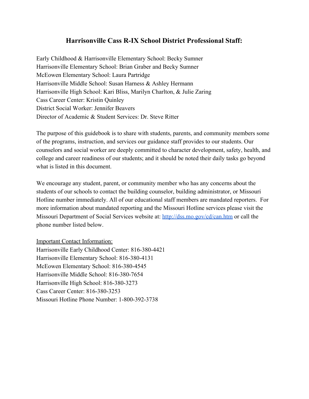## **Harrisonville Cass R-IX School District Professional Staff:**

Early Childhood & Harrisonville Elementary School: Becky Sumner Harrisonville Elementary School: Brian Graber and Becky Sumner McEowen Elementary School: Laura Partridge Harrisonville Middle School: Susan Harness & Ashley Hermann Harrisonville High School: Kari Bliss, Marilyn Charlton, & Julie Zaring Cass Career Center: Kristin Quinley District Social Worker: Jennifer Beavers Director of Academic & Student Services: Dr. Steve Ritter

The purpose of this guidebook is to share with students, parents, and community members some of the programs, instruction, and services our guidance staff provides to our students. Our counselors and social worker are deeply committed to character development, safety, health, and college and career readiness of our students; and it should be noted their daily tasks go beyond what is listed in this document.

We encourage any student, parent, or community member who has any concerns about the students of our schools to contact the building counselor, building administrator, or Missouri Hotline number immediately. All of our educational staff members are mandated reporters. For more information about mandated reporting and the Missouri Hotline services please visit the Missouri Department of Social Services website at:<http://dss.mo.gov/cd/can.htm>or call the phone number listed below.

#### Important Contact Information:

Harrisonville Early Childhood Center: 816-380-4421 Harrisonville Elementary School: 816-380-4131 McEowen Elementary School: 816-380-4545 Harrisonville Middle School: 816-380-7654 Harrisonville High School: 816-380-3273 Cass Career Center: 816-380-3253 Missouri Hotline Phone Number: 1-800-392-3738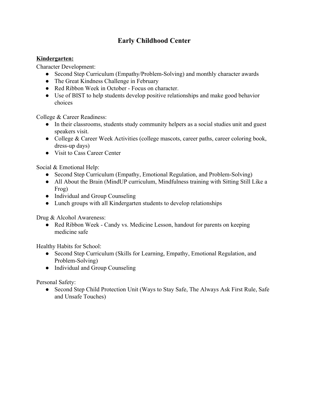# **Early Childhood Center**

#### **Kindergarten:**

Character Development:

- Second Step Curriculum (Empathy/Problem-Solving) and monthly character awards
- The Great Kindness Challenge in February
- Red Ribbon Week in October Focus on character.
- Use of BIST to help students develop positive relationships and make good behavior choices

College & Career Readiness:

- In their classrooms, students study community helpers as a social studies unit and guest speakers visit.
- College & Career Week Activities (college mascots, career paths, career coloring book, dress-up days)
- Visit to Cass Career Center

Social & Emotional Help:

- Second Step Curriculum (Empathy, Emotional Regulation, and Problem-Solving)
- All About the Brain (MindUP curriculum, Mindfulness training with Sitting Still Like a Frog)
- Individual and Group Counseling
- Lunch groups with all Kindergarten students to develop relationships

Drug & Alcohol Awareness:

• Red Ribbon Week - Candy vs. Medicine Lesson, handout for parents on keeping medicine safe

Healthy Habits for School:

- Second Step Curriculum (Skills for Learning, Empathy, Emotional Regulation, and Problem-Solving)
- Individual and Group Counseling

Personal Safety:

• Second Step Child Protection Unit (Ways to Stay Safe, The Always Ask First Rule, Safe and Unsafe Touches)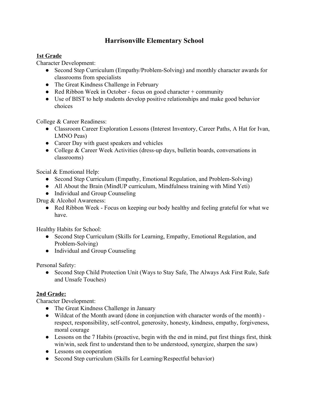# **Harrisonville Elementary School**

#### **1st Grade**

Character Development:

- Second Step Curriculum (Empathy/Problem-Solving) and monthly character awards for classrooms from specialists
- The Great Kindness Challenge in February
- Red Ribbon Week in October focus on good character + community
- Use of BIST to help students develop positive relationships and make good behavior choices

College & Career Readiness:

- Classroom Career Exploration Lessons (Interest Inventory, Career Paths, A Hat for Ivan, LMNO Peas)
- Career Day with guest speakers and vehicles
- College & Career Week Activities (dress-up days, bulletin boards, conversations in classrooms)

Social & Emotional Help:

- Second Step Curriculum (Empathy, Emotional Regulation, and Problem-Solving)
- All About the Brain (MindUP curriculum, Mindfulness training with Mind Yeti)
- Individual and Group Counseling

Drug & Alcohol Awareness:

• Red Ribbon Week - Focus on keeping our body healthy and feeling grateful for what we have.

Healthy Habits for School:

- Second Step Curriculum (Skills for Learning, Empathy, Emotional Regulation, and Problem-Solving)
- Individual and Group Counseling

Personal Safety:

• Second Step Child Protection Unit (Ways to Stay Safe, The Always Ask First Rule, Safe and Unsafe Touches)

### **2nd Grade:**

Character Development:

- The Great Kindness Challenge in January
- Wildcat of the Month award (done in conjunction with character words of the month) respect, responsibility, self-control, generosity, honesty, kindness, empathy, forgiveness, moral courage
- Lessons on the 7 Habits (proactive, begin with the end in mind, put first things first, think win/win, seek first to understand then to be understood, synergize, sharpen the saw)
- Lessons on cooperation
- Second Step curriculum (Skills for Learning/Respectful behavior)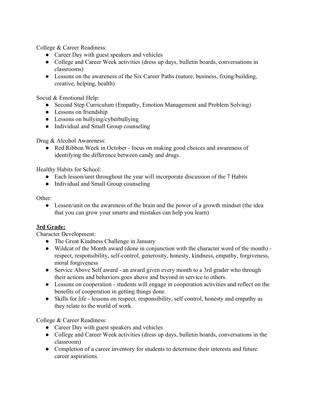College & Career Readiness:

- Career Day with guest speakers and vehicles
- College and Career Week activities (dress up days, bulletin boards, conversations in classrooms)
- Lessons on the awareness of the Six Career Paths (nature, business, fixing/building, creative, helping, health)

Social & Emotional Help:

- Second Step Curriculum (Empathy, Emotion Management and Problem Solving)
- Lessons on friendship
- Lessons on bullying/cyberbullying
- Individual and Small Group counseling

Drug & Alcohol Awareness:

• Red Ribbon Week in October - focus on making good choices and awareness of identifying the difference between candy and drugs.

Healthy Habits for School:

- Each lesson/unit throughout the year will incorporate discussion of the 7 Habits
- Individual and Small Group counseling

Other:

• Lesson/unit on the awareness of the brain and the power of a growth mindset (the idea that you can grow your smarts and mistakes can help you learn)

#### **3rd Grade:**

Character Development:

- The Great Kindness Challenge in January
- Wildcat of the Month award (done in conjunction with the character word of the month) respect, responsibility, self-control, generosity, honesty, kindness, empathy, forgiveness, moral forgiveness
- Service Above Self award an award given every month to a 3rd grader who through their actions and behaviors goes above and beyond in service to others.
- Lessons on cooperation students will engage in cooperation activities and reflect on the benefits of cooperation in getting things done.
- Skills for life lessons on respect, responsibility, self control, honesty and empathy as they relate to the world of work.

College & Career Readiness:

- Career Day with guest speakers and vehicles
- College and Career Week activities (dress up days, bulletin boards, conversations in the classroom)
- Completion of a career inventory for students to determine their interests and future career aspirations.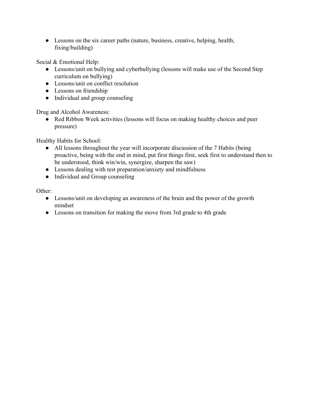● Lessons on the six career paths (nature, business, creative, helping, health, fixing/building)

Social & Emotional Help:

- Lessons/unit on bullying and cyberbullying (lessons will make use of the Second Step curriculum on bullying)
- Lessons/unit on conflict resolution
- Lessons on friendship
- Individual and group counseling

Drug and Alcohol Awareness:

• Red Ribbon Week activities (lessons will focus on making healthy choices and peer pressure)

Healthy Habits for School:

- All lessons throughout the year will incorporate discussion of the 7 Habits (being proactive, being with the end in mind, put first things first, seek first to understand then to be understood, think win/win, synergize, sharpen the saw)
- Lessons dealing with test preparation/anxiety and mindfulness
- Individual and Group counseling

Other:

- Lessons/unit on developing an awareness of the brain and the power of the growth mindset
- Lessons on transition for making the move from 3rd grade to 4th grade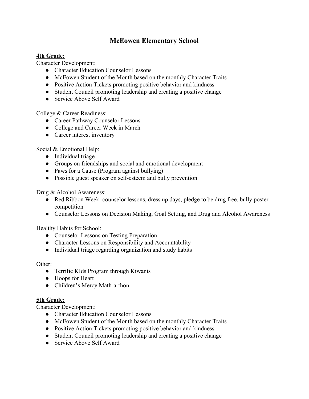## **McEowen Elementary School**

#### **4th Grade:**

Character Development:

- Character Education Counselor Lessons
- McEowen Student of the Month based on the monthly Character Traits
- Positive Action Tickets promoting positive behavior and kindness
- Student Council promoting leadership and creating a positive change
- Service Above Self Award

College & Career Readiness:

- Career Pathway Counselor Lessons
- College and Career Week in March
- Career interest inventory

Social & Emotional Help:

- Individual triage
- Groups on friendships and social and emotional development
- Paws for a Cause (Program against bullying)
- Possible guest speaker on self-esteem and bully prevention

Drug & Alcohol Awareness:

- Red Ribbon Week: counselor lessons, dress up days, pledge to be drug free, bully poster competition
- Counselor Lessons on Decision Making, Goal Setting, and Drug and Alcohol Awareness

Healthy Habits for School:

- Counselor Lessons on Testing Preparation
- Character Lessons on Responsibility and Accountability
- Individual triage regarding organization and study habits

Other:

- Terrific KIds Program through Kiwanis
- Hoops for Heart
- Children's Mercy Math-a-thon

#### **5th Grade:**

Character Development:

- Character Education Counselor Lessons
- McEowen Student of the Month based on the monthly Character Traits
- Positive Action Tickets promoting positive behavior and kindness
- Student Council promoting leadership and creating a positive change
- Service Above Self Award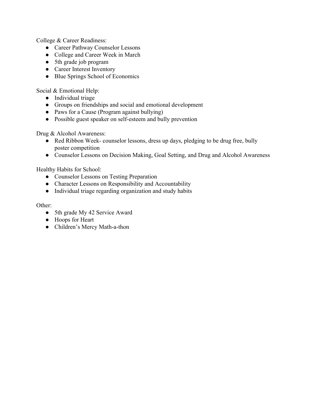College & Career Readiness:

- Career Pathway Counselor Lessons
- College and Career Week in March
- 5th grade job program
- Career Interest Inventory
- Blue Springs School of Economics

Social & Emotional Help:

- Individual triage
- Groups on friendships and social and emotional development
- Paws for a Cause (Program against bullying)
- Possible guest speaker on self-esteem and bully prevention

Drug & Alcohol Awareness:

- Red Ribbon Week- counselor lessons, dress up days, pledging to be drug free, bully poster competition
- Counselor Lessons on Decision Making, Goal Setting, and Drug and Alcohol Awareness

Healthy Habits for School:

- Counselor Lessons on Testing Preparation
- Character Lessons on Responsibility and Accountability
- Individual triage regarding organization and study habits

Other:

- 5th grade My 42 Service Award
- Hoops for Heart
- Children's Mercy Math-a-thon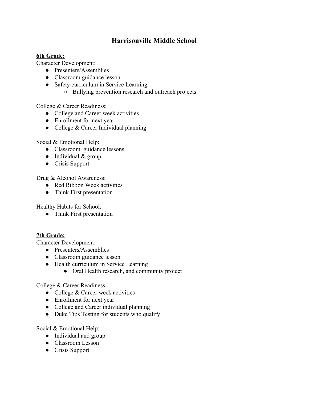## **Harrisonville Middle School**

#### **6th Grade:**

Character Development:

- Presenters/Assemblies
- Classroom guidance lesson
- Safety curriculum in Service Learning
	- Bullying prevention research and outreach projects

College & Career Readiness:

- College and Career week activities
- Enrollment for next year
- College & Career Individual planning

Social & Emotional Help:

- Classroom guidance lessons
- $\bullet$  Individual & group
- Crisis Support

Drug & Alcohol Awareness:

- Red Ribbon Week activities
- Think First presentation

Healthy Habits for School:

• Think First presentation

#### **7th Grade:**

Character Development:

- Presenters/Assemblies
- Classroom guidance lesson
- Health curriculum in Service Learning
	- Oral Health research, and community project

College & Career Readiness:

- College  $&$  Career week activities
- Enrollment for next year
- College and Career individual planning
- Duke Tips Testing for students who qualify

Social & Emotional Help:

- Individual and group
- Classroom Lesson
- Crisis Support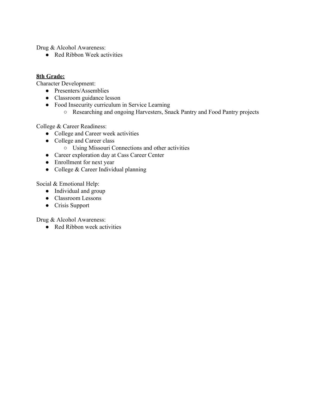Drug & Alcohol Awareness:

● Red Ribbon Week activities

#### **8th Grade:**

Character Development:

- Presenters/Assemblies
- Classroom guidance lesson
- Food Insecurity curriculum in Service Learning
	- Researching and ongoing Harvesters, Snack Pantry and Food Pantry projects

College & Career Readiness:

- College and Career week activities
- College and Career class
	- Using Missouri Connections and other activities
- Career exploration day at Cass Career Center
- Enrollment for next year
- College & Career Individual planning

Social & Emotional Help:

- Individual and group
- Classroom Lessons
- Crisis Support

Drug & Alcohol Awareness:

● Red Ribbon week activities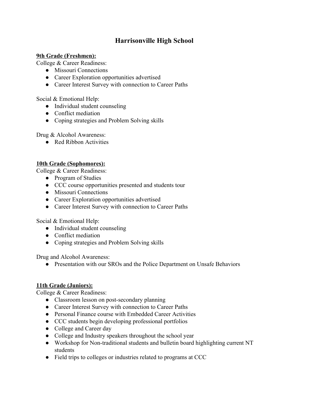# **Harrisonville High School**

#### **9th Grade (Freshmen):**

College & Career Readiness:

- Missouri Connections
- Career Exploration opportunities advertised
- Career Interest Survey with connection to Career Paths

Social & Emotional Help:

- Individual student counseling
- Conflict mediation
- Coping strategies and Problem Solving skills

Drug & Alcohol Awareness:

● Red Ribbon Activities

#### **10th Grade (Sophomores):**

College & Career Readiness:

- Program of Studies
- CCC course opportunities presented and students tour
- Missouri Connections
- Career Exploration opportunities advertised
- Career Interest Survey with connection to Career Paths

Social & Emotional Help:

- Individual student counseling
- Conflict mediation
- Coping strategies and Problem Solving skills

Drug and Alcohol Awareness:

• Presentation with our SROs and the Police Department on Unsafe Behaviors

#### **11th Grade (Juniors):**

College & Career Readiness:

- Classroom lesson on post-secondary planning
- Career Interest Survey with connection to Career Paths
- Personal Finance course with Embedded Career Activities
- CCC students begin developing professional portfolios
- College and Career day
- College and Industry speakers throughout the school year
- Workshop for Non-traditional students and bulletin board highlighting current NT students
- Field trips to colleges or industries related to programs at CCC